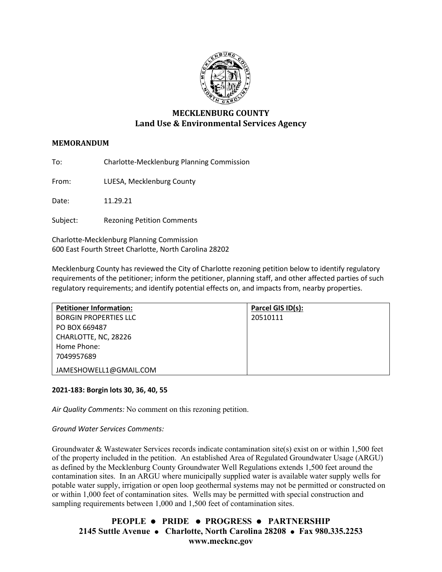

# **MECKLENBURG COUNTY Land Use & Environmental Services Agency**

### **MEMORANDUM**

To: Charlotte-Mecklenburg Planning Commission

From: LUESA, Mecklenburg County

Date: 11.29.21

Subject: Rezoning Petition Comments

Charlotte-Mecklenburg Planning Commission 600 East Fourth Street Charlotte, North Carolina 28202

Mecklenburg County has reviewed the City of Charlotte rezoning petition below to identify regulatory requirements of the petitioner; inform the petitioner, planning staff, and other affected parties of such regulatory requirements; and identify potential effects on, and impacts from, nearby properties.

| <b>Petitioner Information:</b> | Parcel GIS ID(s): |
|--------------------------------|-------------------|
| <b>BORGIN PROPERTIES LLC</b>   | 20510111          |
| PO BOX 669487                  |                   |
| CHARLOTTE, NC, 28226           |                   |
| Home Phone:                    |                   |
| 7049957689                     |                   |
| JAMESHOWELL1@GMAIL.COM         |                   |

### **2021-183: Borgin lots 30, 36, 40, 55**

*Air Quality Comments:* No comment on this rezoning petition.

*Ground Water Services Comments:* 

Groundwater & Wastewater Services records indicate contamination site(s) exist on or within 1,500 feet of the property included in the petition. An established Area of Regulated Groundwater Usage (ARGU) as defined by the Mecklenburg County Groundwater Well Regulations extends 1,500 feet around the contamination sites. In an ARGU where municipally supplied water is available water supply wells for potable water supply, irrigation or open loop geothermal systems may not be permitted or constructed on or within 1,000 feet of contamination sites. Wells may be permitted with special construction and sampling requirements between 1,000 and 1,500 feet of contamination sites.

## **PEOPLE PRIDE PROGRESS PARTNERSHIP 2145 Suttle Avenue Charlotte, North Carolina 28208 Fax 980.335.2253 www.mecknc.gov**